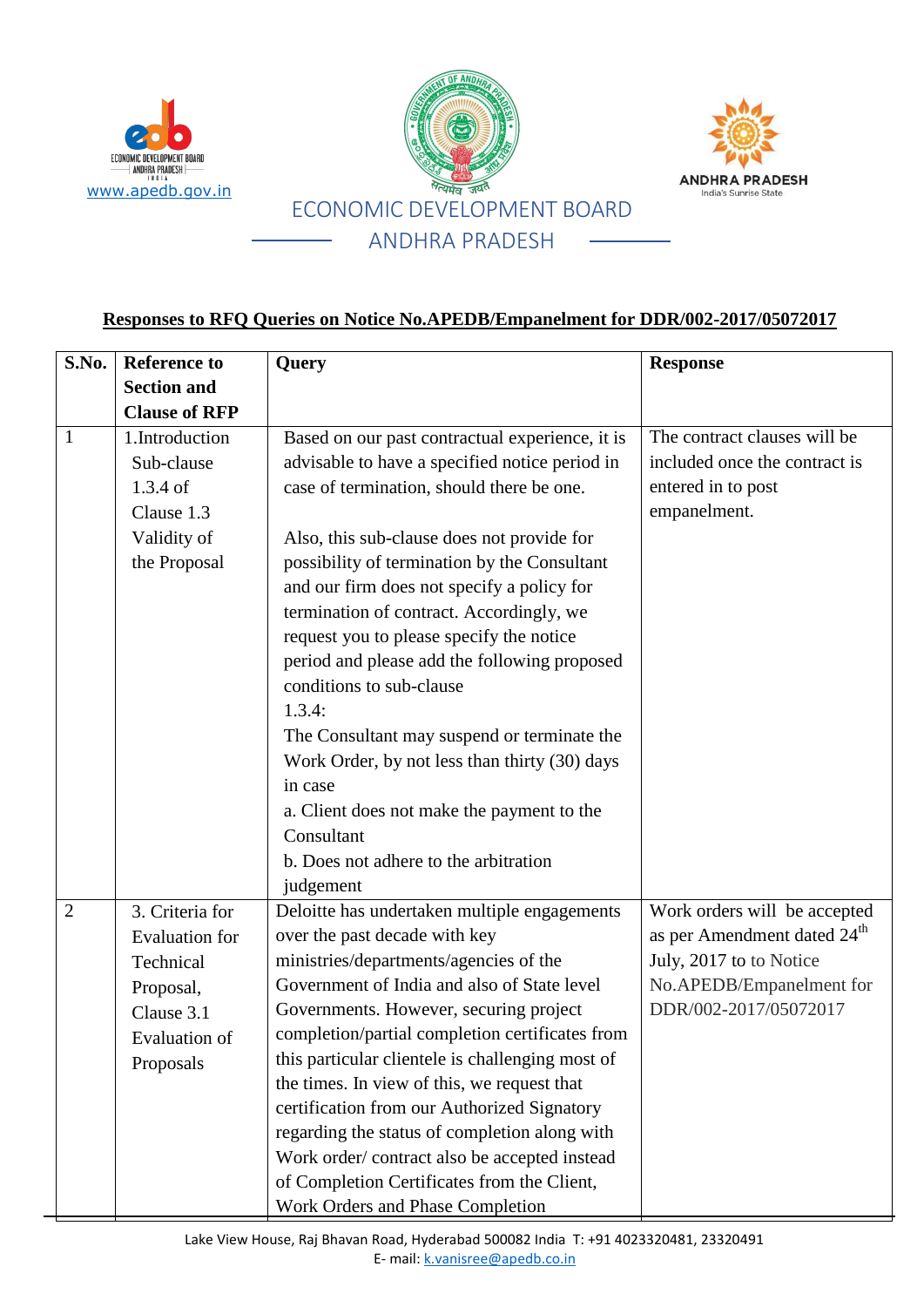

www.apedb.gov.in

ECONOMIC DEVELOPMENT BOARD **ANDHRA PRADESH**<br>ANDIA



## **Responses to RFQ Queries on Notice No.APEDB/Empanelment for DDR/002-2017/05072017**

| S.No.          | <b>Reference to</b>   | <b>Query</b>                                     | <b>Response</b>                         |
|----------------|-----------------------|--------------------------------------------------|-----------------------------------------|
|                | <b>Section and</b>    |                                                  |                                         |
|                | <b>Clause of RFP</b>  |                                                  |                                         |
| $\mathbf{1}$   | 1.Introduction        | Based on our past contractual experience, it is  | The contract clauses will be            |
|                | Sub-clause            | advisable to have a specified notice period in   | included once the contract is           |
|                | $1.3.4$ of            | case of termination, should there be one.        | entered in to post                      |
|                | Clause 1.3            |                                                  | empanelment.                            |
|                | Validity of           | Also, this sub-clause does not provide for       |                                         |
|                | the Proposal          | possibility of termination by the Consultant     |                                         |
|                |                       | and our firm does not specify a policy for       |                                         |
|                |                       | termination of contract. Accordingly, we         |                                         |
|                |                       | request you to please specify the notice         |                                         |
|                |                       | period and please add the following proposed     |                                         |
|                |                       | conditions to sub-clause                         |                                         |
|                |                       | 1.3.4:                                           |                                         |
|                |                       | The Consultant may suspend or terminate the      |                                         |
|                |                       | Work Order, by not less than thirty (30) days    |                                         |
|                |                       | in case                                          |                                         |
|                |                       | a. Client does not make the payment to the       |                                         |
|                |                       | Consultant                                       |                                         |
|                |                       | b. Does not adhere to the arbitration            |                                         |
|                |                       | judgement                                        |                                         |
| $\overline{2}$ | 3. Criteria for       | Deloitte has undertaken multiple engagements     | Work orders will be accepted            |
|                | <b>Evaluation</b> for | over the past decade with key                    | as per Amendment dated 24 <sup>th</sup> |
|                | Technical             | ministries/departments/agencies of the           | July, 2017 to to Notice                 |
|                | Proposal,             | Government of India and also of State level      | No.APEDB/Empanelment for                |
|                | Clause 3.1            | Governments. However, securing project           | DDR/002-2017/05072017                   |
|                | Evaluation of         | completion/partial completion certificates from  |                                         |
|                | Proposals             | this particular clientele is challenging most of |                                         |
|                |                       | the times. In view of this, we request that      |                                         |
|                |                       | certification from our Authorized Signatory      |                                         |
|                |                       | regarding the status of completion along with    |                                         |
|                |                       | Work order/contract also be accepted instead     |                                         |
|                |                       | of Completion Certificates from the Client,      |                                         |
|                |                       | <b>Work Orders and Phase Completion</b>          |                                         |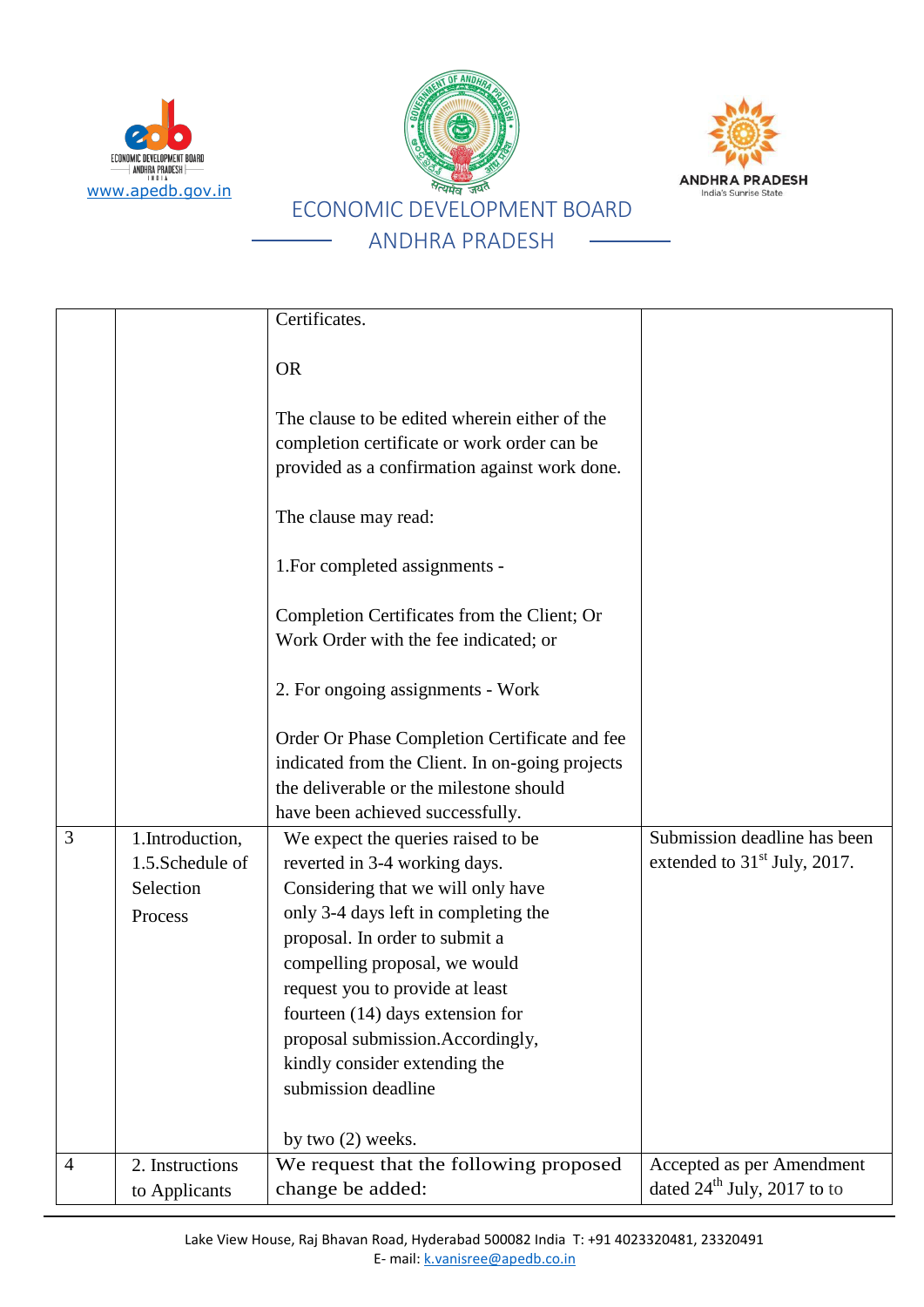





## Certificates. OR The clause to be edited wherein either of the completion certificate or work order can be provided as a confirmation against work done. The clause may read: 1.For completed assignments - Completion Certificates from the Client; Or Work Order with the fee indicated; or 2. For ongoing assignments - Work Order Or Phase Completion Certificate and fee indicated from the Client. In on-going projects the deliverable or the milestone should have been achieved successfully. 3 1.Introduction, 1.5.Schedule of Selection Process We expect the queries raised to be reverted in 3-4 working days. Considering that we will only have only 3-4 days left in completing the proposal. In order to submit a compelling proposal, we would request you to provide at least fourteen (14) days extension for proposal submission.Accordingly, kindly consider extending the submission deadline by two (2) weeks. Submission deadline has been extended to  $31<sup>st</sup>$  July, 2017. 4 2. Instructions to Applicants We request that the following proposed change be added: Accepted as per Amendment dated  $24^{\text{th}}$  July, 2017 to to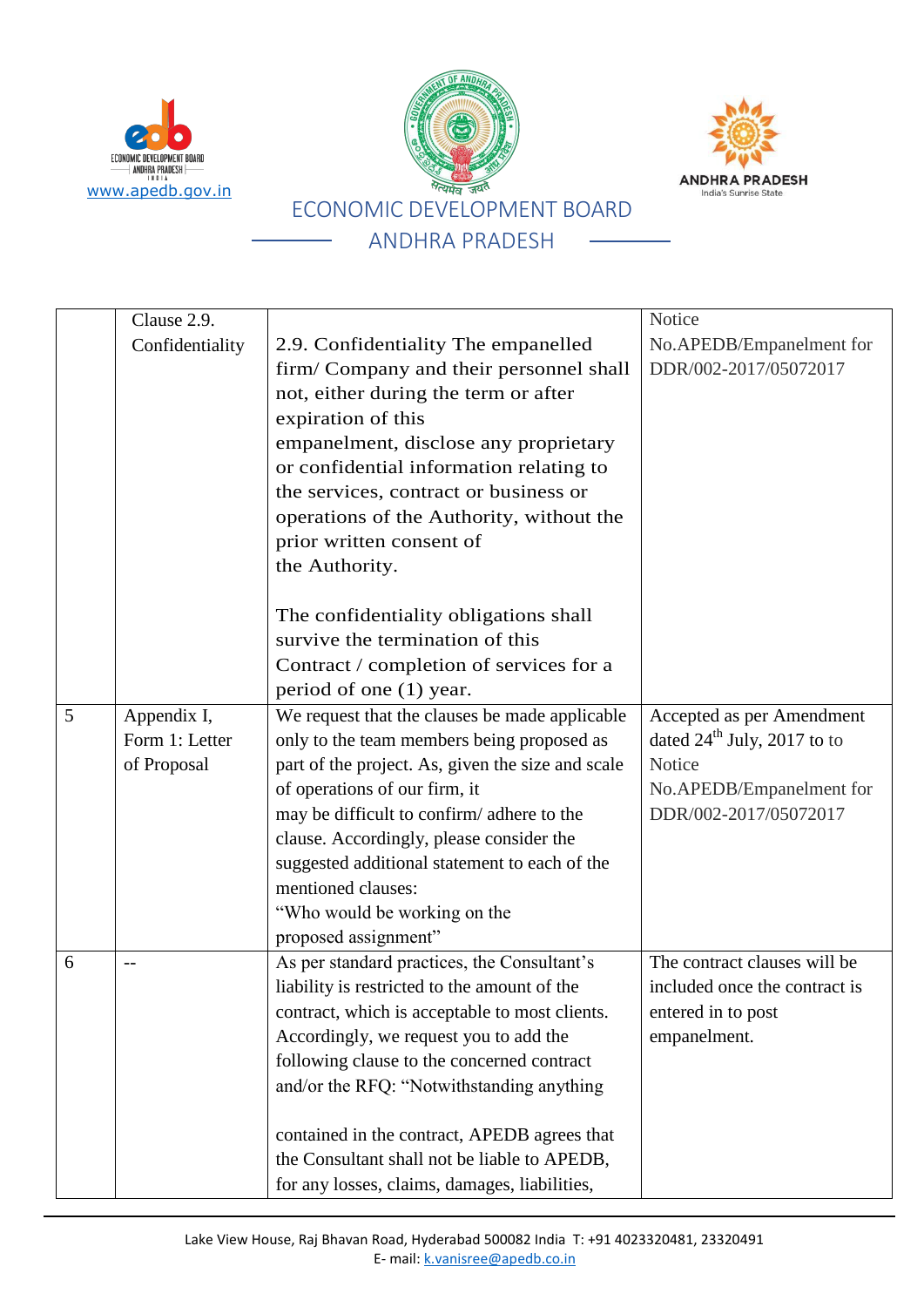





### $C$ lause 2.9 Confidentiality 2.9. Confidentiality The empanelled firm/ Company and their personnel shall not, either during the term or after expiration of this empanelment, disclose any proprietary or confidential information relating to the services, contract or business or operations of the Authority, without the prior written consent of the Authority. The confidentiality obligations shall survive the termination of this Contract / completion of services for a period of one (1) year. **Notice** No.APEDB/Empanelment for DDR/002-2017/05072017 5 Appendix I, Form 1: Letter of Proposal We request that the clauses be made applicable only to the team members being proposed as part of the project. As, given the size and scale of operations of our firm, it may be difficult to confirm/ adhere to the clause. Accordingly, please consider the suggested additional statement to each of the mentioned clauses: "Who would be working on the proposed assignment" Accepted as per Amendment dated  $24^{\text{th}}$  July, 2017 to to Notice No.APEDB/Empanelment for DDR/002-2017/05072017  $\begin{array}{c|c}\n6 & -\end{array}$  -- As per standard practices, the Consultant's liability is restricted to the amount of the contract, which is acceptable to most clients. Accordingly, we request you to add the following clause to the concerned contract and/or the RFQ: "Notwithstanding anything contained in the contract, APEDB agrees that the Consultant shall not be liable to APEDB, The contract clauses will be included once the contract is entered in to post empanelment.

for any losses, claims, damages, liabilities,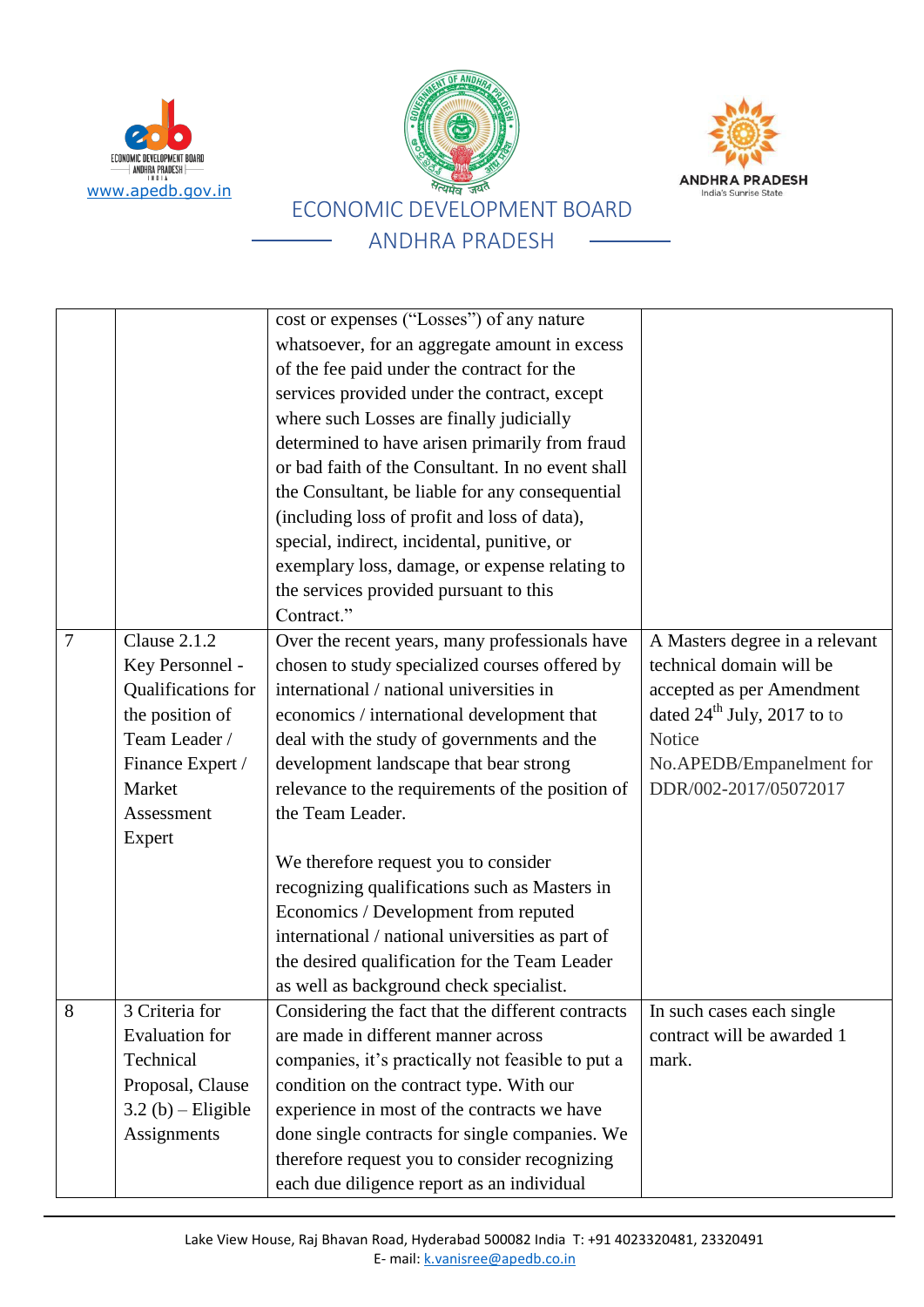





#### cost or expenses ("Losses") of any nature whatsoever, for an aggregate amount in excess of the fee paid under the contract for the services provided under the contract, except where such Losses are finally judicially determined to have arisen primarily from fraud or bad faith of the Consultant. In no event shall the Consultant, be liable for any consequential (including loss of profit and loss of data), special, indirect, incidental, punitive, or exemplary loss, damage, or expense relating to the services provided pursuant to this Contract." 7 Clause 2.1.2 Key Personnel - Qualifications for the position of Team Leader / Finance Expert / Market Assessment Expert Over the recent years, many professionals have chosen to study specialized courses offered by international / national universities in economics / international development that deal with the study of governments and the development landscape that bear strong relevance to the requirements of the position of the Team Leader. We therefore request you to consider recognizing qualifications such as Masters in Economics / Development from reputed international / national universities as part of the desired qualification for the Team Leader as well as background check specialist. A Masters degree in a relevant technical domain will be accepted as per Amendment dated  $24^{\text{th}}$  July, 2017 to to **Notice** No.APEDB/Empanelment for DDR/002-2017/05072017 8 3 Criteria for Evaluation for **Technical** Proposal, Clause  $3.2$  (b) – Eligible **Assignments** Considering the fact that the different contracts are made in different manner across companies, it's practically not feasible to put a condition on the contract type. With our experience in most of the contracts we have done single contracts for single companies. We therefore request you to consider recognizing In such cases each single contract will be awarded 1 mark.

each due diligence report as an individual